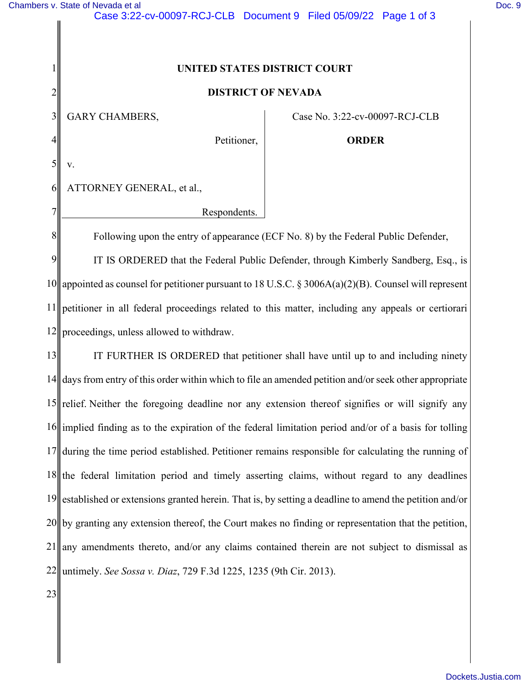1

2

3

4

5

v.

7

8

## **UNITED STATES DISTRICT COURT**

## **DISTRICT OF NEVADA**

GARY CHAMBERS,

Case No. 3:22-cv-00097-RCJ-CLB

Petitioner,

**ORDER** 

6 ATTORNEY GENERAL, et al.,

Respondents.

Following upon the entry of appearance (ECF No. 8) by the Federal Public Defender,

9 10 11 12 IT IS ORDERED that the Federal Public Defender, through Kimberly Sandberg, Esq., is appointed as counsel for petitioner pursuant to 18 U.S.C. § 3006A(a)(2)(B). Counsel will represent petitioner in all federal proceedings related to this matter, including any appeals or certiorari proceedings, unless allowed to withdraw.

13 14 15 relief. Neither the foregoing deadline nor any extension thereof signifies or will signify any 16 implied finding as to the expiration of the federal limitation period and/or of a basis for tolling 17 18 19 20 21 22 IT FURTHER IS ORDERED that petitioner shall have until up to and including ninety days from entry of this order within which to file an amended petition and/or seek other appropriate during the time period established. Petitioner remains responsible for calculating the running of the federal limitation period and timely asserting claims, without regard to any deadlines established or extensions granted herein. That is, by setting a deadline to amend the petition and/or by granting any extension thereof, the Court makes no finding or representation that the petition, any amendments thereto, and/or any claims contained therein are not subject to dismissal as untimely. *See Sossa v. Diaz*, 729 F.3d 1225, 1235 (9th Cir. 2013).

23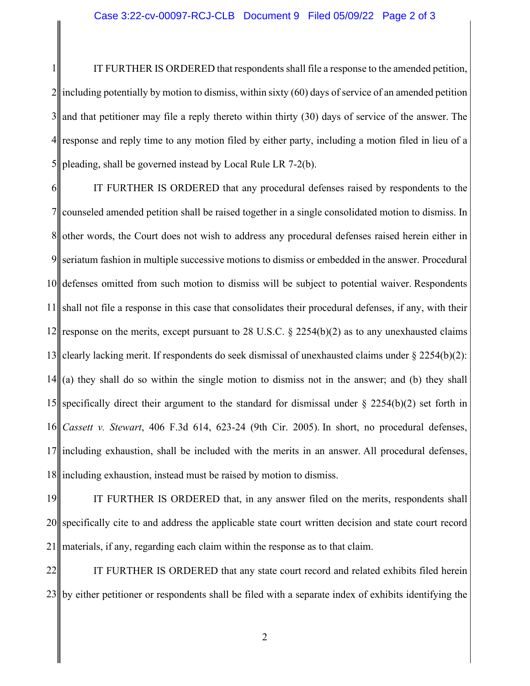1 2 3 4 5 IT FURTHER IS ORDERED that respondents shall file a response to the amended petition, including potentially by motion to dismiss, within sixty (60) days of service of an amended petition and that petitioner may file a reply thereto within thirty (30) days of service of the answer. The response and reply time to any motion filed by either party, including a motion filed in lieu of a pleading, shall be governed instead by Local Rule LR 7-2(b).

6 7 8 9 10 11 12 13 14 15 specifically direct their argument to the standard for dismissal under  $\S$  2254(b)(2) set forth in 16 17 18 IT FURTHER IS ORDERED that any procedural defenses raised by respondents to the counseled amended petition shall be raised together in a single consolidated motion to dismiss. In other words, the Court does not wish to address any procedural defenses raised herein either in seriatum fashion in multiple successive motions to dismiss or embedded in the answer. Procedural defenses omitted from such motion to dismiss will be subject to potential waiver. Respondents shall not file a response in this case that consolidates their procedural defenses, if any, with their response on the merits, except pursuant to 28 U.S.C. § 2254(b)(2) as to any unexhausted claims clearly lacking merit. If respondents do seek dismissal of unexhausted claims under § 2254(b)(2): (a) they shall do so within the single motion to dismiss not in the answer; and (b) they shall *Cassett v. Stewart*, 406 F.3d 614, 623-24 (9th Cir. 2005). In short, no procedural defenses, including exhaustion, shall be included with the merits in an answer. All procedural defenses, including exhaustion, instead must be raised by motion to dismiss.

19 20 21 IT FURTHER IS ORDERED that, in any answer filed on the merits, respondents shall specifically cite to and address the applicable state court written decision and state court record materials, if any, regarding each claim within the response as to that claim.

22 23 by either petitioner or respondents shall be filed with a separate index of exhibits identifying the IT FURTHER IS ORDERED that any state court record and related exhibits filed herein